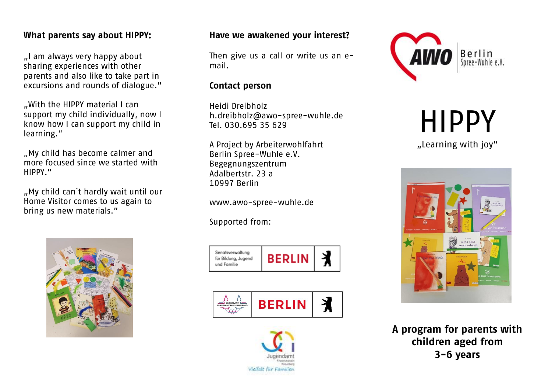## **What parents say about HIPPY:**

"I am always very happy about sharing experiences with other parents and also like to take part in excursions and rounds of dialogue."

"With the HIPPY material I can support my child individually, now I know how I can support my child in learning."

"My child has become calmer and more focused since we started with HIPPY."

"My child can´t hardly wait until our Home Visitor comes to us again to bring us new materials."



#### **Have we awakened your interest?**

Then give us a call or write us an email.

#### **Contact person**

Heidi Dreibholz [h.dreibholz@awo-spree-wuhle.de](mailto:h.dreibholz@awo-spree-wuhle.de) Tel. 030.695 35 629

A Project by Arbeiterwohlfahrt Berlin Spree-Wuhle e.V. Begegnungszentrum Adalbertstr. 23 a 10997 Berlin

www.awo-spree-wuhle.de

Supported from:









HIPPY

"Learning with joy"



**A program for parents with children aged from 3-6 years**